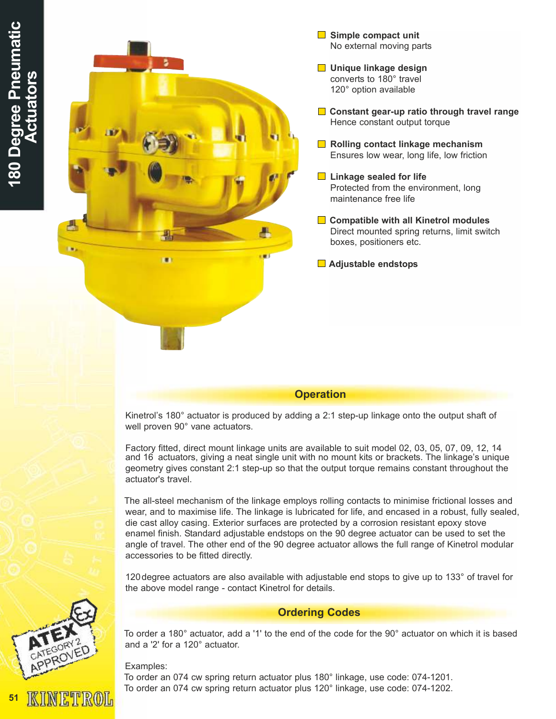

- Unique linkage design converts to 180° travel 120° option available
- **□** Constant gear-up ratio through travel range Hence constant output torque
- $\Box$  Rolling contact linkage mechanism Ensures low wear, long life, low friction
- $\blacksquare$  Linkage sealed for life Protected from the environment, long maintenance free life

 $\Box$  Compatible with all Kinetrol modules Direct mounted spring returns, limit switch boxes, positioners etc.

**■** Adjustable endstops

## **Operation**

Kinetrol's 180° actuator is produced by adding a 2:1 step-up linkage onto the output shaft of well proven 90° vane actuators.

Factory fitted, direct mount linkage units are available to suit model 02, 03, 05, 07, 09, 12, 14 and 16 actuators, giving a neat single unit with no mount kits or brackets. The linkage's unique geometry gives constant 2:1 step-up so that the output torque remains constant throughout the actuator's travel.

The all-steel mechanism of the linkage employs rolling contacts to minimise frictional losses and wear, and to maximise life. The linkage is lubricated for life, and encased in a robust, fully sealed, die cast alloy casing. Exterior surfaces are protected by a corrosion resistant epoxy stove enamel finish. Standard adjustable endstops on the 90 degree actuator can be used to set the angle of travel. The other end of the 90 degree actuator allows the full range of Kinetrol modular accessories to be fitted directly.

120 degree actuators are also available with adjustable end stops to give up to 133° of travel for the above model range - contact Kinetrol for details.

## Ordering Codes

To order a 180° actuator, add a '1' to the end of the code for the 90° actuator on which it is based and a '2' for a 120° actuator.

## Examples:

To order an 074 cw spring return actuator plus 180° linkage, use code: 074-1201. To order an 074 cw spring return actuator plus 120° linkage, use code: 074-1202.



INETROL

51